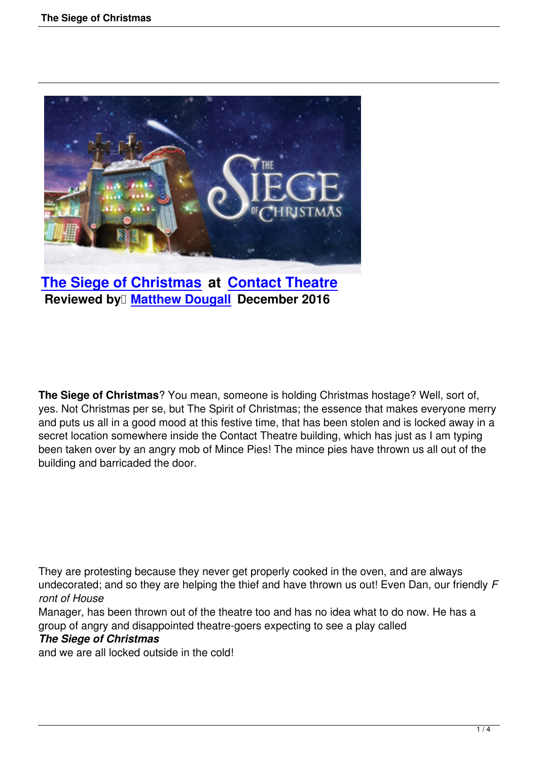

**The Siege of Christmas at Contact Theatre Reviewed by Matthew Dougall December 2016** 

**The Siege of Christmas**? You mean, someone is holding Christmas hostage? Well, sort of, yes. Not Christmas per se, but The Spirit of Christmas; the essence that makes everyone merry and puts us all in a good mood at this festive time, that has been stolen and is locked away in a secret location somewhere inside the Contact Theatre building, which has just as I am typing been taken over by an angry mob of Mince Pies! The mince pies have thrown us all out of the building and barricaded the door.

They are protesting because they never get properly cooked in the oven, and are always undecorated; and so they are helping the thief and have thrown us out! Even Dan, our friendly *F ront of House*

Manager, has been thrown out of the theatre too and has no idea what to do now. He has a group of angry and disappointed theatre-goers expecting to see a play called

## *The Siege of Christmas*

and we are all locked outside in the cold!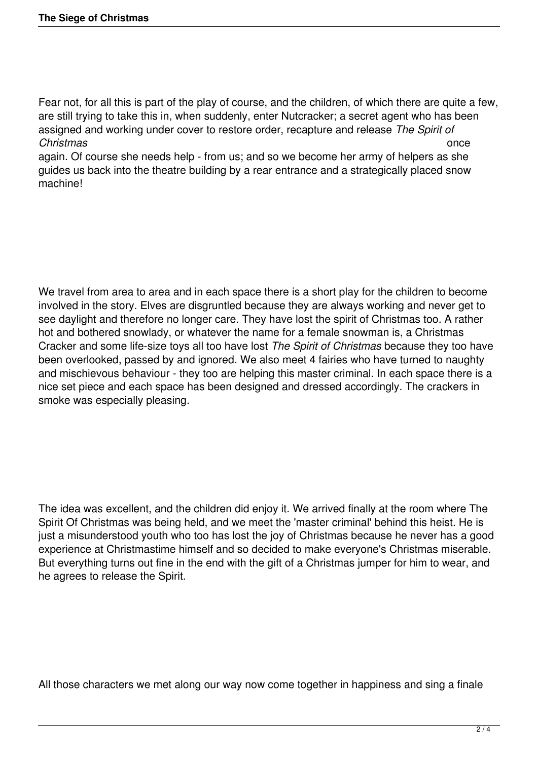Fear not, for all this is part of the play of course, and the children, of which there are quite a few, are still trying to take this in, when suddenly, enter Nutcracker; a secret agent who has been assigned and working under cover to restore order, recapture and release *The Spirit of Christmas* once

again. Of course she needs help - from us; and so we become her army of helpers as she guides us back into the theatre building by a rear entrance and a strategically placed snow machine!

We travel from area to area and in each space there is a short play for the children to become involved in the story. Elves are disgruntled because they are always working and never get to see daylight and therefore no longer care. They have lost the spirit of Christmas too. A rather hot and bothered snowlady, or whatever the name for a female snowman is, a Christmas Cracker and some life-size toys all too have lost *The Spirit of Christmas* because they too have been overlooked, passed by and ignored. We also meet 4 fairies who have turned to naughty and mischievous behaviour - they too are helping this master criminal. In each space there is a nice set piece and each space has been designed and dressed accordingly. The crackers in smoke was especially pleasing.

The idea was excellent, and the children did enjoy it. We arrived finally at the room where The Spirit Of Christmas was being held, and we meet the 'master criminal' behind this heist. He is just a misunderstood youth who too has lost the joy of Christmas because he never has a good experience at Christmastime himself and so decided to make everyone's Christmas miserable. But everything turns out fine in the end with the gift of a Christmas jumper for him to wear, and he agrees to release the Spirit.

All those characters we met along our way now come together in happiness and sing a finale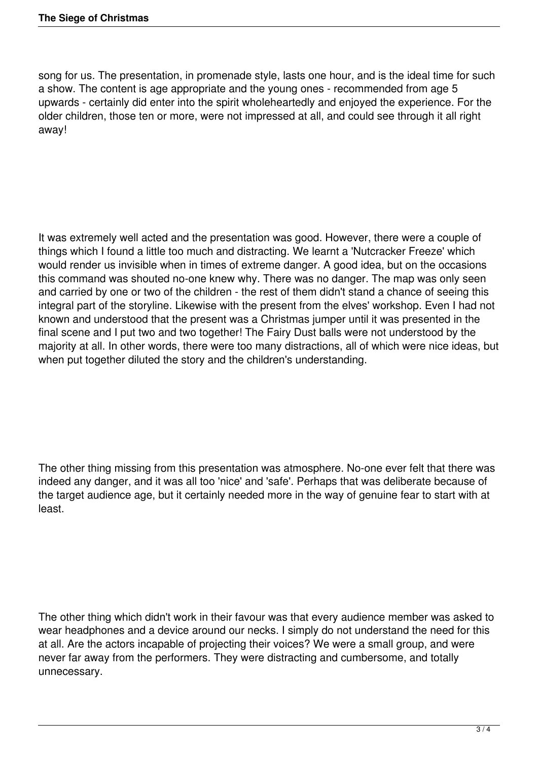song for us. The presentation, in promenade style, lasts one hour, and is the ideal time for such a show. The content is age appropriate and the young ones - recommended from age 5 upwards - certainly did enter into the spirit wholeheartedly and enjoyed the experience. For the older children, those ten or more, were not impressed at all, and could see through it all right away!

It was extremely well acted and the presentation was good. However, there were a couple of things which I found a little too much and distracting. We learnt a 'Nutcracker Freeze' which would render us invisible when in times of extreme danger. A good idea, but on the occasions this command was shouted no-one knew why. There was no danger. The map was only seen and carried by one or two of the children - the rest of them didn't stand a chance of seeing this integral part of the storyline. Likewise with the present from the elves' workshop. Even I had not known and understood that the present was a Christmas jumper until it was presented in the final scene and I put two and two together! The Fairy Dust balls were not understood by the majority at all. In other words, there were too many distractions, all of which were nice ideas, but when put together diluted the story and the children's understanding.

The other thing missing from this presentation was atmosphere. No-one ever felt that there was indeed any danger, and it was all too 'nice' and 'safe'. Perhaps that was deliberate because of the target audience age, but it certainly needed more in the way of genuine fear to start with at least.

The other thing which didn't work in their favour was that every audience member was asked to wear headphones and a device around our necks. I simply do not understand the need for this at all. Are the actors incapable of projecting their voices? We were a small group, and were never far away from the performers. They were distracting and cumbersome, and totally unnecessary.